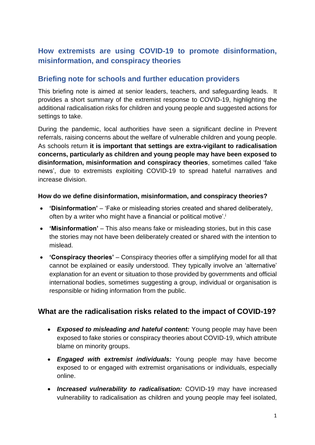# **How extremists are using COVID-19 to promote disinformation, misinformation, and conspiracy theories**

### **Briefing note for schools and further education providers**

This briefing note is aimed at senior leaders, teachers, and safeguarding leads. It provides a short summary of the extremist response to COVID-19, highlighting the additional radicalisation risks for children and young people and suggested actions for settings to take.

During the pandemic, local authorities have seen a significant decline in Prevent referrals, raising concerns about the welfare of vulnerable children and young people. As schools return **it is important that settings are extra-vigilant to radicalisation concerns, particularly as children and young people may have been exposed to disinformation, misinformation and conspiracy theories**, sometimes called 'fake news', due to extremists exploiting COVID-19 to spread hateful narratives and increase division.

#### **How do we define disinformation, misinformation, and conspiracy theories?**

- **'Disinformation'** 'Fake or misleading stories created and shared deliberately, often by a writer who might have a financial or political motive'.<sup>i</sup>
- **'Misinformation'** This also means fake or misleading stories, but in this case the stories may not have been deliberately created or shared with the intention to mislead.
- **'Conspiracy theories'** Conspiracy theories offer a simplifying model for all that cannot be explained or easily understood. They typically involve an 'alternative' explanation for an event or situation to those provided by governments and official international bodies, sometimes suggesting a group, individual or organisation is responsible or hiding information from the public.

### **What are the radicalisation risks related to the impact of COVID-19?**

- *Exposed to misleading and hateful content:* Young people may have been exposed to fake stories or conspiracy theories about COVID-19, which attribute blame on minority groups.
- *Engaged with extremist individuals:* Young people may have become exposed to or engaged with extremist organisations or individuals, especially online.
- *Increased vulnerability to radicalisation:* COVID-19 may have increased vulnerability to radicalisation as children and young people may feel isolated,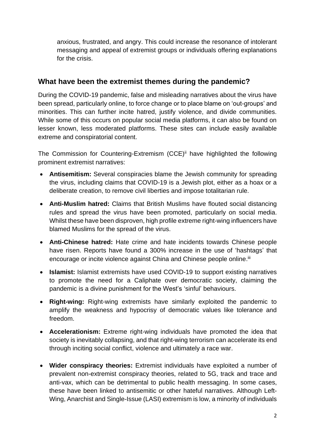anxious, frustrated, and angry. This could increase the resonance of intolerant messaging and appeal of extremist groups or individuals offering explanations for the crisis.

### **What have been the extremist themes during the pandemic?**

During the COVID-19 pandemic, false and misleading narratives about the virus have been spread, particularly online, to force change or to place blame on 'out-groups' and minorities. This can further incite hatred, justify violence, and divide communities. While some of this occurs on popular social media platforms, it can also be found on lesser known, less moderated platforms. These sites can include easily available extreme and conspiratorial content.

The Commission for Countering-Extremism (CCE)<sup>ii</sup> have highlighted the following prominent extremist narratives:

- **Antisemitism:** Several conspiracies blame the Jewish community for spreading the virus, including claims that COVID-19 is a Jewish plot, either as a hoax or a deliberate creation, to remove civil liberties and impose totalitarian rule.
- **Anti-Muslim hatred:** Claims that British Muslims have flouted social distancing rules and spread the virus have been promoted, particularly on social media. Whilst these have been disproven, high profile extreme right-wing influencers have blamed Muslims for the spread of the virus.
- **Anti-Chinese hatred:** Hate crime and hate incidents towards Chinese people have risen. Reports have found a 300% increase in the use of 'hashtags' that encourage or incite violence against China and Chinese people online.<sup>iii</sup>
- **Islamist:** Islamist extremists have used COVID-19 to support existing narratives to promote the need for a Caliphate over democratic society, claiming the pandemic is a divine punishment for the West's 'sinful' behaviours.
- **Right-wing:** Right-wing extremists have similarly exploited the pandemic to amplify the weakness and hypocrisy of democratic values like tolerance and freedom.
- **Accelerationism:** Extreme right-wing individuals have promoted the idea that society is inevitably collapsing, and that right-wing terrorism can accelerate its end through inciting social conflict, violence and ultimately a race war.
- **Wider conspiracy theories:** Extremist individuals have exploited a number of prevalent non-extremist conspiracy theories, related to 5G, track and trace and anti-vax, which can be detrimental to public health messaging. In some cases, these have been linked to antisemitic or other hateful narratives. Although Left-Wing, Anarchist and Single-Issue (LASI) extremism is low, a minority of individuals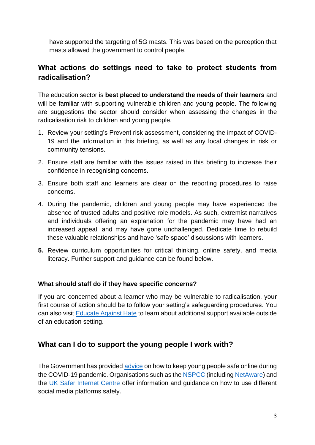have supported the targeting of 5G masts. This was based on the perception that masts allowed the government to control people.

## **What actions do settings need to take to protect students from radicalisation?**

The education sector is **best placed to understand the needs of their learners** and will be familiar with supporting vulnerable children and young people. The following are suggestions the sector should consider when assessing the changes in the radicalisation risk to children and young people.

- 1. Review your setting's Prevent risk assessment, considering the impact of COVID-19 and the information in this briefing, as well as any local changes in risk or community tensions.
- 2. Ensure staff are familiar with the issues raised in this briefing to increase their confidence in recognising concerns.
- 3. Ensure both staff and learners are clear on the reporting procedures to raise concerns.
- 4. During the pandemic, children and young people may have experienced the absence of trusted adults and positive role models. As such, extremist narratives and individuals offering an explanation for the pandemic may have had an increased appeal, and may have gone unchallenged. Dedicate time to rebuild these valuable relationships and have 'safe space' discussions with learners.
- **5.** Review curriculum opportunities for critical thinking, online safety, and media literacy. Further support and guidance can be found below.

#### **What should staff do if they have specific concerns?**

If you are concerned about a learner who may be vulnerable to radicalisation, your first course of action should be to follow your setting's safeguarding procedures. You can also visit [Educate Against Hate](https://educateagainsthate.com/what-should-i-do-if-i-have-a-concern-about-a-child/) to learn about additional support available outside of an education setting.

## **What can I do to support the young people I work with?**

The Government has provided [advice](https://www.gov.uk/government/publications/coronavirus-covid-19-keeping-children-safe-online/coronavirus-covid-19-support-for-parents-and-carers-to-keep-children-safe-online) on how to keep young people safe online during the COVID-19 pandemic. Organisations such as th[e NSPCC](https://www.nspcc.org.uk/keeping-children-safe/online-safety/) (including [NetAware\)](https://www.net-aware.org.uk/) and the [UK Safer Internet Centre](https://www.saferinternet.org.uk/advice-centre/teachers-and-school-staff) offer information and guidance on how to use different social media platforms safely.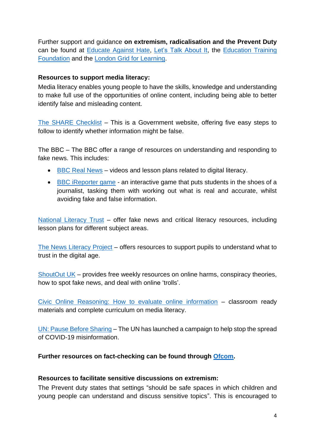Further support and guidance **on extremism, radicalisation and the Prevent Duty**  can be found at [Educate Against Hate,](https://educateagainsthate.com/) [Let's Talk About It,](https://www.ltai.info/) the [Education Training](https://preventforfeandtraining.org.uk/)  [Foundation](https://preventforfeandtraining.org.uk/) and the [London Grid for Learning.](https://www.lgfl.net/)

#### **Resources to support media literacy:**

Media literacy enables young people to have the skills, knowledge and understanding to make full use of the opportunities of online content, including being able to better identify false and misleading content.

[The SHARE Checklist](https://sharechecklist.gov.uk/) – This is a Government website, offering five easy steps to follow to identify whether information might be false.

The BBC – The BBC offer a range of resources on understanding and responding to fake news. This includes:

- [BBC Real News](https://www.bbc.co.uk/academy/find/?q=real+news) videos and lesson plans related to digital literacy.
- [BBC iReporter game](https://www.bbc.co.uk/news/resources/idt-8760dd58-84f9-4c98-ade2-590562670096) an interactive game that puts students in the shoes of a journalist, tasking them with working out what is real and accurate, whilst avoiding fake and false information.

[National Literacy Trust](https://literacytrust.org.uk/resources/fake-news-and-critical-literacy-resources/) – offer fake news and critical literacy resources, including lesson plans for different subject areas.

[The News Literacy Project](https://newslit.org/) – offers resources to support pupils to understand what to trust in the digital age.

[ShoutOut UK](https://www.shoutoutuk.org/covid-19/) – provides free weekly resources on online harms, conspiracy theories, how to spot fake news, and deal with online 'trolls'.

[Civic Online Reasoning: How to evaluate online information](https://cor.stanford.edu/) – classroom ready materials and complete curriculum on media literacy.

[UN: Pause Before Sharing](https://news.un.org/en/story/2020/06/1067422) – The UN has launched a campaign to help stop the spread of COVID-19 misinformation.

#### **Further resources on fact-checking can be found through [Ofcom.](https://www.ofcom.org.uk/research-and-data/media-literacy-research/coronavirus-resources)**

#### **Resources to facilitate sensitive discussions on extremism:**

The Prevent duty states that settings "should be safe spaces in which children and young people can understand and discuss sensitive topics". This is encouraged to